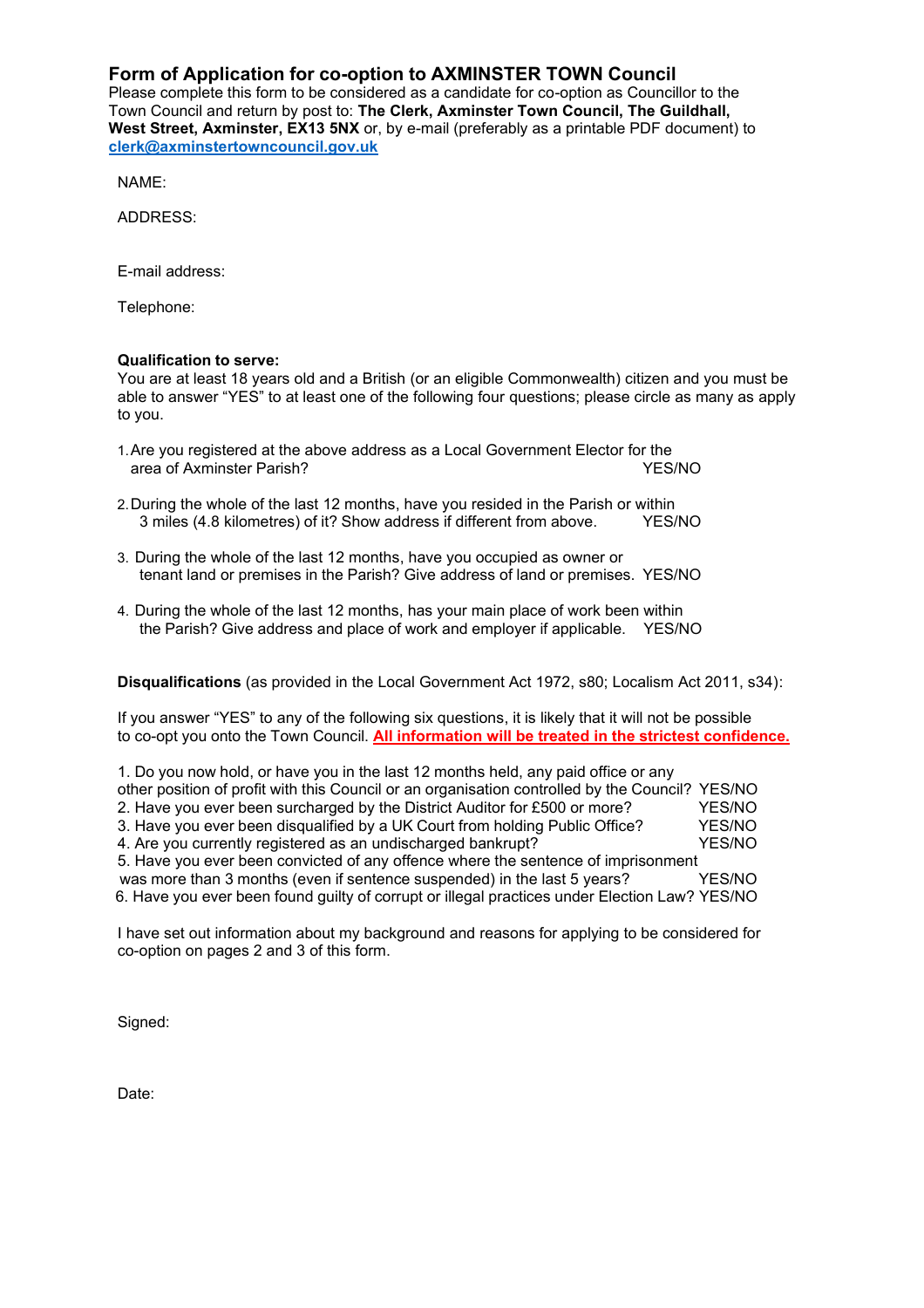## **Form of Application for co-option to AXMINSTER TOWN Council**

Please complete this form to be considered as a candidate for co-option as Councillor to the Town Council and return by post to: **The Clerk, Axminster Town Council, The Guildhall, West Street, Axminster, EX13 5NX** or, by e-mail (preferably as a printable PDF document) to **[clerk@axminstertowncouncil.gov.uk](mailto:clerk@axminstertowncouncil.gov.uk)**

NAME:

ADDRESS:

E-mail address:

Telephone:

## **Qualification to serve:**

You are at least 18 years old and a British (or an eligible Commonwealth) citizen and you must be able to answer "YES" to at least one of the following four questions; please circle as many as apply to you.

- 1. Are you registered at the above address as a Local Government Elector for the<br>YES/NO area of Axminster Parish?
- 2.During the whole of the last 12 months, have you resided in the Parish or within 3 miles (4.8 kilometres) of it? Show address if different from above. YES/NO
- 3. During the whole of the last 12 months, have you occupied as owner or tenant land or premises in the Parish? Give address of land or premises. YES/NO
- 4. During the whole of the last 12 months, has your main place of work been within the Parish? Give address and place of work and employer if applicable. YES/NO

**Disqualifications** (as provided in the Local Government Act 1972, s80; Localism Act 2011, s34):

If you answer "YES" to any of the following six questions, it is likely that it will not be possible to co-opt you onto the Town Council. **All information will be treated in the strictest confidence.**

| 1. Do you now hold, or have you in the last 12 months held, any paid office or any              |        |  |
|-------------------------------------------------------------------------------------------------|--------|--|
| other position of profit with this Council or an organisation controlled by the Council? YES/NO |        |  |
| 2. Have you ever been surcharged by the District Auditor for £500 or more?                      | YES/NO |  |
| 3. Have you ever been disqualified by a UK Court from holding Public Office?                    | YES/NO |  |
| 4. Are you currently registered as an undischarged bankrupt?                                    | YES/NO |  |
| 5. Have you ever been convicted of any offence where the sentence of imprisonment               |        |  |
| was more than 3 months (even if sentence suspended) in the last 5 years?                        | YES/NO |  |
| 6. Have you ever been found guilty of corrupt or illegal practices under Election Law? YES/NO   |        |  |

I have set out information about my background and reasons for applying to be considered for co-option on pages 2 and 3 of this form.

Signed:

Date: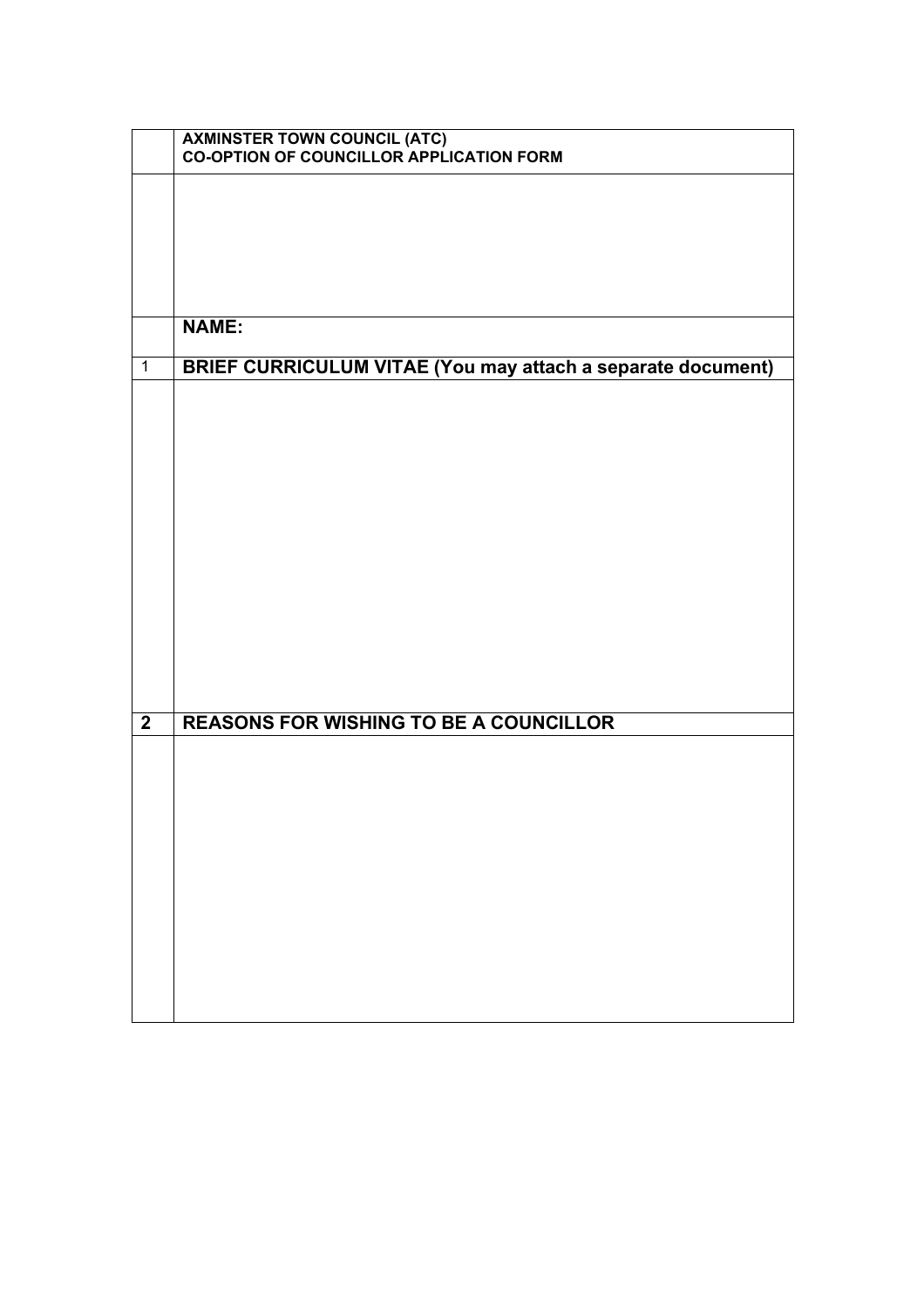|                         | AXMINSTER TOWN COUNCIL (ATC)<br>CO-OPTION OF COUNCILLOR APPLICATION FORM |
|-------------------------|--------------------------------------------------------------------------|
|                         |                                                                          |
|                         |                                                                          |
|                         |                                                                          |
|                         |                                                                          |
|                         |                                                                          |
|                         |                                                                          |
|                         | <b>NAME:</b>                                                             |
| $\mathbf{1}$            | <b>BRIEF CURRICULUM VITAE (You may attach a separate document)</b>       |
|                         |                                                                          |
|                         |                                                                          |
|                         |                                                                          |
|                         |                                                                          |
|                         |                                                                          |
|                         |                                                                          |
|                         |                                                                          |
|                         |                                                                          |
|                         |                                                                          |
|                         |                                                                          |
|                         |                                                                          |
|                         |                                                                          |
|                         |                                                                          |
| $\overline{\mathbf{2}}$ | <b>REASONS FOR WISHING TO BE A COUNCILLOR</b>                            |
|                         |                                                                          |
|                         |                                                                          |
|                         |                                                                          |
|                         |                                                                          |
|                         |                                                                          |
|                         |                                                                          |
|                         |                                                                          |
|                         |                                                                          |
|                         |                                                                          |
|                         |                                                                          |
|                         |                                                                          |
|                         |                                                                          |